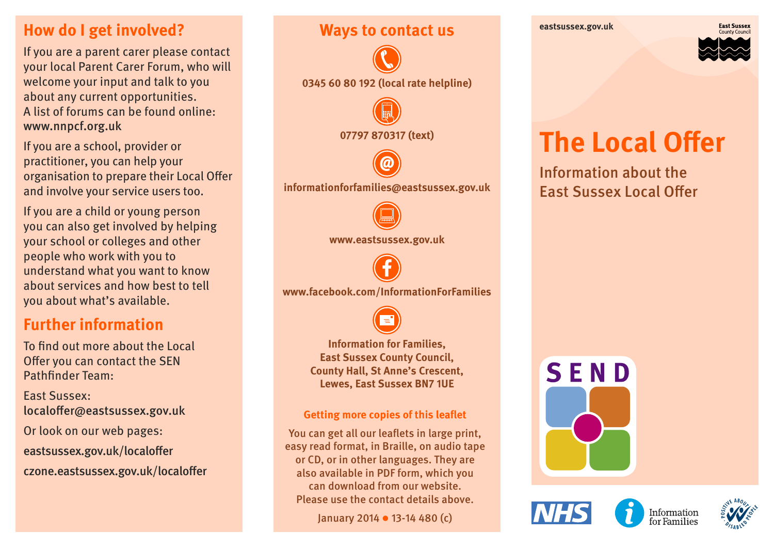#### **How do I get involved?**

If you are a parent carer please contact your local Parent Carer Forum, who will welcome your input and talk to you about any current opportunities. A list of forums can be found online: www.nnpcf.org.uk

If you are a school, provider or practitioner, you can help your organisation to prepare their Local Offer and involve your service users too.

If you are a child or young person you can also get involved by helping your school or colleges and other people who work with you to understand what you want to know about services and how best to tell you about what's available.

#### **Further information**

To find out more about the Local Offer you can contact the SEN Pathfinder Team:

East Sussex: localoffer@eastsussex.gov.uk Or look on our web pages: eastsussex.gov.uk/localoffer czone.eastsussex.gov.uk/localoffer



Please use the contact details above.

January 2014 13-14 480 (c)



# **The Local Offer**

Information about the East Sussex Local Offer

SEND



Information for Families